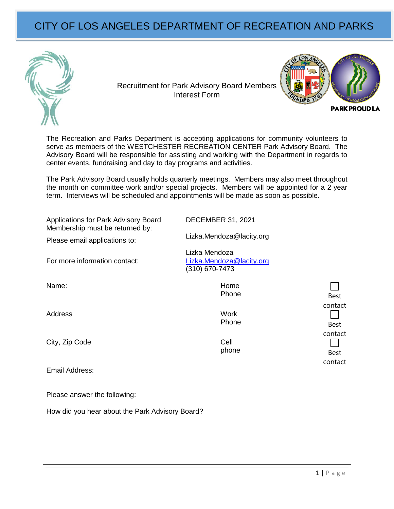## CITY OF LOS ANGELES DEPARTMENT OF RECREATION AND PARKS



Recruitment for Park Advisory Board Members Interest Form



The Recreation and Parks Department is accepting applications for community volunteers to serve as members of the WESTCHESTER RECREATION CENTER Park Advisory Board. The Advisory Board will be responsible for assisting and working with the Department in regards to center events, fundraising and day to day programs and activities.

The Park Advisory Board usually holds quarterly meetings. Members may also meet throughout the month on committee work and/or special projects. Members will be appointed for a 2 year term. Interviews will be scheduled and appointments will be made as soon as possible.

| Applications for Park Advisory Board<br>Membership must be returned by: | <b>DECEMBER 31, 2021</b>                                    |                        |
|-------------------------------------------------------------------------|-------------------------------------------------------------|------------------------|
| Please email applications to:                                           | Lizka.Mendoza@lacity.org                                    |                        |
| For more information contact:                                           | Lizka Mendoza<br>Lizka.Mendoza@lacity.org<br>(310) 670-7473 |                        |
| Name:                                                                   | Home<br>Phone                                               | <b>Best</b>            |
| Address                                                                 | Work<br>Phone                                               | contact<br><b>Best</b> |
| City, Zip Code                                                          | Cell<br>phone                                               | contact<br><b>Best</b> |
| Email Address:                                                          |                                                             | contact                |

Please answer the following:

How did you hear about the Park Advisory Board?